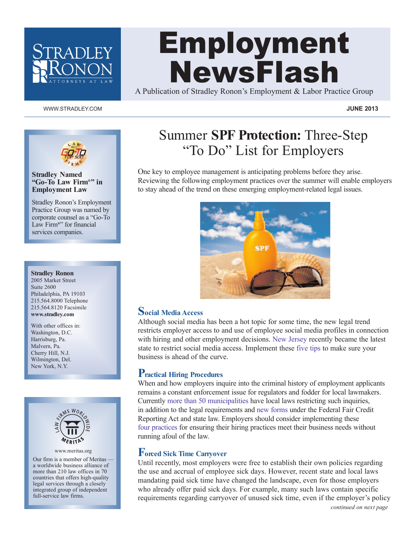

# Employment NewsFlash

A Publication of Stradley Ronon's Employment & Labor Practice Group

### www.stradley.com **JUNE 2013**



### **Stradley Named "Go-To Law Firm®" in Employment Law**

Stradley Ronon's Employment Practice Group was named by corporate counsel as a "Go-To Law Firm**®**" for financial services companies.

#### **Stradley Ronon**

2005 Market Street Suite 2600 Philadelphia, PA 19103 215.564.8000 Telephone 215.564.8120 Facsimile **www.stradley.com**

With other offices in: Washington, D.C. Harrisburg, Pa. Malvern, Pa. Cherry Hill, N.J. Wilmington, Del. New York, N.Y.



www.meritas.org

Our firm is a member of Meritas a worldwide business alliance of more than 210 law offices in 70 countries that offers high-quality legal services through a closely integrated group of independent full-service law firms.

# Summer **SPF Protection:** Three-Step "To Do" List for Employers

One key to employee management is anticipating problems before they arise. Reviewing the following employment practices over the summer will enable employers to stay ahead of the trend on these emerging employment-related legal issues.



### **Social Media Access**

Although social media has been a hot topic for some time, the new legal trend restricts employer access to and use of employee social media profiles in connection with hiring and other employment decisions. New [Jersey](http://www.stradley.com/newsletters.php?action=view&id=840) recently became the latest state to restrict social media access. Implement these [five](http://www.stradley.com/newsletters.php?action=view&id=814) tips to make sure your business is ahead of the curve.

## **Practical Hiring Procedures**

When and how employers inquire into the criminal history of employment applicants remains a constant enforcement issue for regulators and fodder for local lawmakers. Currently more than 50 [municipalities](http://www.nelp.org/page/-/SCLP/2011/CityandCountyHiringInitiatives.pdf?nocdn=1) have local laws restricting such inquiries, in addition to the legal requirements and new [forms](http://www.stradley.com/newsletters.php?action=view&id=798) under the Federal Fair Credit Reporting Act and state law. Employers should consider implementing these four [practices](http://www.stradley.com/newsletters.php?action=view&id=772) for ensuring their hiring practices meet their business needs without running afoul of the law.

# **Forced Sick Time Carryover**

Until recently, most employers were free to establish their own policies regarding the use and accrual of employee sick days. However, recent state and local laws mandating paid sick time have changed the landscape, even for those employers who already offer paid sick days. For example, many such laws contain specific requirements regarding carryover of unused sick time, even if the employer's policy